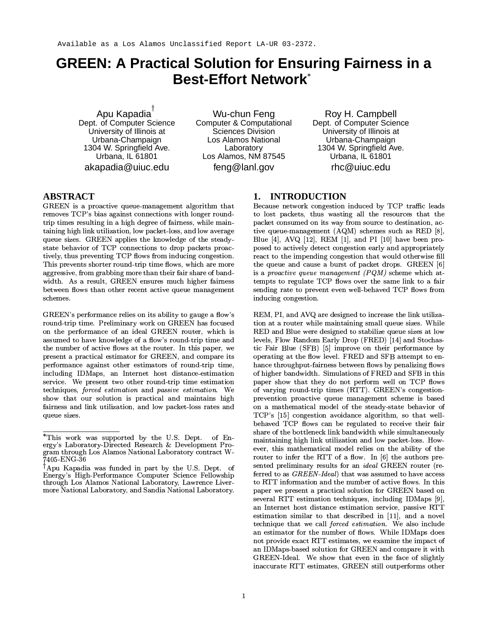# **GREEN: A Practical Solution for Ensuring Fairness in a Best-Effort Network\***

Apu Kapadia<sup>†</sup> Dept. of Computer Science University of Illinois at Urbana-Champaign 1304 W. Springfield Ave. Urbana, IL 61801 akapadia@uiuc.edu

Wu-chun Fena Computer & Computational Sciences Division Los Alamos National Laboratory Los Alamos, NM 87545 feng@lanl.gov

Rov H. Campbell Dept. of Computer Science University of Illinois at Urbana-Champaign 1304 W. Springfield Ave. Urbana, IL 61801  $rhc@$  uiuc.edu

# **ABSTRACT**

GREEN is a proactive queue-management algorithm that removes TCP's bias against connections with longer roundtrip times resulting in a high degree of fairness, while maintaining high link utilization, low packet-loss, and low average queue sizes. GREEN applies the knowledge of the steadystate behavior of TCP connections to drop packets proactively, thus preventing TCP flows from inducing congestion. This prevents shorter round-trip time flows, which are more aggressive, from grabbing more than their fair share of bandwidth. As a result, GREEN ensures much higher fairness between flows than other recent active queue management schemes.

GREEN's performance relies on its ability to gauge a flow's round-trip time. Preliminary work on GREEN has focused on the performance of an ideal GREEN router, which is assumed to have knowledge of a flow's round-trip time and the number of active flows at the router. In this paper, we present a practical estimator for GREEN, and compare its performance against other estimators of round-trip time, including IDMaps, an Internet host distance-estimation service. We present two other round-trip time estimation techniques, forced estimation and passive estimation. We show that our solution is practical and maintains high fairness and link utilization, and low packet-loss rates and queue sizes.

### 1. INTRODUCTION

Because network congestion induced by TCP traffic leads to lost packets, thus wasting all the resources that the packet consumed on its way from source to destination, active queue-management (AQM) schemes such as RED [8], Blue  $[4]$ , AVQ  $[12]$ , REM  $[1]$ , and PI  $[10]$  have been proposed to actively detect congestion early and appropriately react to the impending congestion that would otherwise fill the queue and cause a burst of packet drops. GREEN [6] is a *proactive queue management (PQM)* scheme which attempts to regulate TCP flows over the same link to a fair sending rate to prevent even well-behaved TCP flows from inducing congestion.

REM, PI, and AVQ are designed to increase the link utilization at a router while maintaining small queue sizes. While RED and Blue were designed to stabilize queue sizes at low levels, Flow Random Early Drop (FRED) [14] and Stochastic Fair Blue (SFB) [5] improve on their performance by operating at the flow level. FRED and SFB attempt to enhance throughput-fairness between flows by penalizing flows of higher bandwidth. Simulations of FRED and SFB in this paper show that they do not perform well on TCP flows of varying round-trip times (RTT). GREEN's congestionprevention proactive queue management scheme is based on a mathematical model of the steady-state behavior of TCP's [15] congestion avoidance algorithm, so that wellbehaved TCP flows can be regulated to receive their fair share of the bottleneck link bandwidth while simultaneously maintaining high link utilization and low packet-loss. However, this mathematical model relies on the ability of the router to infer the RTT of a flow. In [6] the authors presented preliminary results for an ideal GREEN router (referred to as *GREEN-Ideal*) that was assumed to have access to RTT information and the number of active flows. In this paper we present a practical solution for GREEN based on several RTT estimation techniques, including IDMaps [9], an Internet host distance estimation service, passive RTT estimation similar to that described in [11], and a novel technique that we call forced estimation. We also include an estimator for the number of flows. While IDMaps does not provide exact RTT estimates, we examine the impact of an IDMaps-based solution for GREEN and compare it with GREEN-Ideal. We show that even in the face of slightly inaccurate RTT estimates, GREEN still outperforms other

<sup>\*</sup>This work was supported by the U.S. Dept. of Energy's Laboratory-Directed Research & Development Program through Los Alamos National Laboratory contract W-<br>7405-ENG-36

Apu Kapadia was funded in part by the U.S. Dept. of Energy's High-Performance Computer Science Fellowship through Los Alamos National Laboratory, Lawrence Livermore National Laboratory, and Sandia National Laboratory.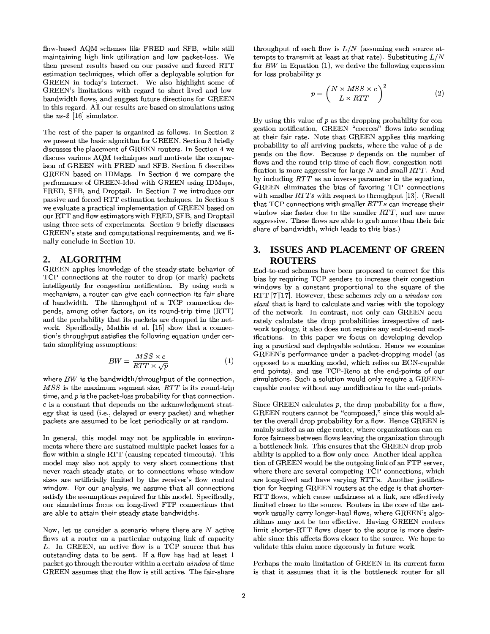flow-based AQM schemes like FRED and SFB, while still maintaining high link utilization and low packet-loss. We then present results based on our passive and forced RTT estimation techniques, which offer a deployable solution for GREEN in today's Internet. We also highlight some of GREEN's limitations with regard to short-lived and lowbandwidth flows, and suggest future directions for GREEN in this regard. All our results are based on simulations using the  $ns-2$  [16] simulator.

The rest of the paper is organized as follows. In Section 2 we present the basic algorithm for GREEN. Section 3 briefly discusses the placement of GREEN routers. In Section 4 we discuss various AQM techniques and motivate the comparison of GREEN with FRED and SFB. Section 5 describes GREEN based on IDMaps. In Section 6 we compare the performance of GREEN-Ideal with GREEN using IDMaps, FRED, SFB, and Droptail. In Section 7 we introduce our passive and forced RTT estimation techniques. In Section 8 we evaluate a practical implementation of GREEN based on our RTT and flow estimators with FRED, SFB, and Droptail using three sets of experiments. Section 9 briefly discusses GREEN's state and computational requirements, and we finally conclude in Section 10.

#### **ALGORITHM**  $2.$

GREEN applies knowledge of the steady-state behavior of TCP connections at the router to drop (or mark) packets intelligently for congestion notification. By using such a mechanism, a router can give each connection its fair share of bandwidth. The throughput of a TCP connection depends, among other factors, on its round-trip time (RTT) and the probability that its packets are dropped in the network. Specifically, Mathis et al. [15] show that a connection's throughput satisfies the following equation under certain simplifying assumptions:

$$
BW = \frac{MSS \times c}{RTT \times \sqrt{p}}\tag{1}
$$

where  $BW$  is the bandwidth/throughput of the connection,  $MSS$  is the maximum segment size,  $RTT$  is its round-trip time, and  $p$  is the packet-loss probability for that connection. c is a constant that depends on the acknowledgment strategy that is used (i.e., delayed or every packet) and whether packets are assumed to be lost periodically or at random.

In general, this model may not be applicable in environments where there are sustained multiple packet losses for a flow within a single RTT (causing repeated timeouts). This model may also not apply to very short connections that never reach steady state, or to connections whose window sizes are artificially limited by the receiver's flow control window. For our analysis, we assume that all connections satisfy the assumptions required for this model. Specifically, our simulations focus on long-lived FTP connections that are able to attain their steady state bandwidths.

Now, let us consider a scenario where there are  $N$  active flows at a router on a particular outgoing link of capacity L. In GREEN, an active flow is a TCP source that has outstanding data to be sent. If a flow has had at least 1 packet go through the router within a certain window of time GREEN assumes that the flow is still active. The fair-share

throughput of each flow is  $L/N$  (assuming each source attempts to transmit at least at that rate). Substituting  $L/N$ for  $BW$  in Equation (1), we derive the following expression for loss probability  $p$ :

$$
p = \left(\frac{N \times MSS \times c}{L \times RTT}\right)^2\tag{2}
$$

By using this value of  $p$  as the dropping probability for congestion notification, GREEN "coerces" flows into sending at their fair rate. Note that GREEN applies this marking probability to all arriving packets, where the value of  $p$  depends on the flow. Because  $p$  depends on the number of flows and the round-trip time of each flow, congestion notification is more aggressive for large  $N$  and small  $RTT$ . And by including  $RTT$  as an inverse parameter in the equation, GREEN eliminates the bias of favoring TCP connections with smaller  $RTTs$  with respect to throughput [13]. (Recall that TCP connections with smaller RTTs can increase their window size faster due to the smaller RTT, and are more aggressive. These flows are able to grab more than their fair share of bandwidth, which leads to this bias.)

# 3. ISSUES AND PLACEMENT OF GREEN **ROUTERS**

End-to-end schemes have been proposed to correct for this bias by requiring TCP senders to increase their congestion windows by a constant proportional to the square of the RTT [7][17]. However, these schemes rely on a  $window\ con$ stant that is hard to calculate and varies with the topology of the network. In contrast, not only can GREEN accurately calculate the drop probabilities irrespective of network topology, it also does not require any end-to-end modifications. In this paper we focus on developing developing a practical and deployable solution. Hence we examine GREEN's performance under a packet-dropping model (as opposed to a marking model, which relies on ECN-capable end points), and use TCP-Reno at the end-points of our simulations. Such a solution would only require a GREENcapable router without any modification to the end-points.

Since GREEN calculates  $p$ , the drop probability for a flow, GREEN routers cannot be "composed," since this would alter the overall drop probability for a flow. Hence GREEN is mainly suited as an edge router, where organizations can enforce fairness between flows leaving the organization through a bottleneck link. This ensures that the GREEN drop probability is applied to a flow only once. Another ideal application of GREEN would be the outgoing link of an FTP server, where there are several competing TCP connections, which are long-lived and have varying RTT's. Another justification for keeping GREEN routers at the edge is that shorter-RTT flows, which cause unfairness at a link, are effectively limited closer to the source. Routers in the core of the network usually carry longer-haul flows, where GREEN's algorithms may not be too effective. Having GREEN routers limit shorter-RTT flows closer to the source is more desirable since this affects flows closer to the source. We hope to validate this claim more rigorously in future work.

Perhaps the main limitation of GREEN in its current form is that it assumes that it is the bottleneck router for all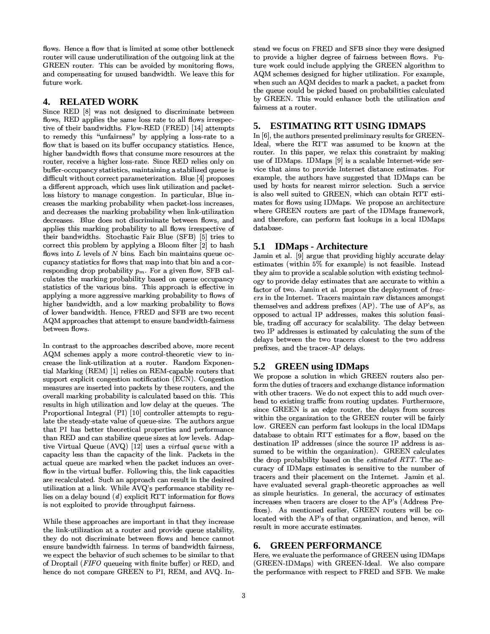flows. Hence a flow that is limited at some other bottleneck router will cause underutilization of the outgoing link at the GREEN router. This can be avoided by monitoring flows, and compensating for unused bandwidth. We leave this for future work.

#### 4. **RELATED WORK**

Since RED [8] was not designed to discriminate between flows, RED applies the same loss rate to all flows irrespective of their bandwidths. Flow-RED (FRED) [14] attempts to remedy this "unfairness" by applying a loss-rate to a flow that is based on its buffer occupancy statistics. Hence, higher bandwidth flows that consume more resources at the router, receive a higher loss-rate. Since RED relies only on buffer-occupancy statistics, maintaining a stabilized queue is difficult without correct parameterization. Blue [4] proposes a different approach, which uses link utilization and packetloss history to manage congestion. In particular, Blue increases the marking probability when packet-loss increases, and decreases the marking probability when link-utilization decreases. Blue does not discriminate between flows, and applies this marking probability to all flows irrespective of their bandwidths. Stochastic Fair Blue (SFB) [5] tries to correct this problem by applying a Bloom filter [2] to hash flows into  $L$  levels of  $N$  bins. Each bin maintains queue occupancy statistics for flows that map into that bin and a corresponding drop probability  $p_m$ . For a given flow, SFB calculates the marking probability based on queue occupancy statistics of the various bins. This approach is effective in applying a more aggressive marking probability to flows of higher bandwidth, and a low marking probability to flows of lower bandwidth. Hence, FRED and SFB are two recent AQM approaches that attempt to ensure bandwidth-fairness between flows.

In contrast to the approaches described above, more recent AQM schemes apply a more control-theoretic view to increase the link-utilization at a router. Random Exponential Marking (REM) [1] relies on REM-capable routers that support explicit congestion notification (ECN). Congestion measures are inserted into packets by these routers, and the overall marking probability is calculated based on this. This results in high utilization and low delay at the queues. The Proportional Integral (PI) [10] controller attempts to regulate the steady-state value of queue-size. The authors argue that PI has better theoretical properties and performance than RED and can stabilize queue sizes at low levels. Adaptive Virtual Queue (AVQ) [12] uses a *virtual queue* with a capacity less than the capacity of the link. Packets in the actual queue are marked when the packet induces an overflow in the virtual buffer. Following this, the link capacities are recalculated. Such an approach can result in the desired utilization at a link. While AVQ's performance stability relies on a delay bound  $(d)$  explicit RTT information for flows is not exploited to provide throughput fairness.

While these approaches are important in that they increase the link-utilization at a router and provide queue stability, they do not discriminate between flows and hence cannot ensure bandwidth fairness. In terms of bandwidth fairness, we expect the behavior of such schemes to be similar to that of Droptail (FIFO queueing with finite buffer) or RED, and hence do not compare GREEN to PI, REM, and AVQ. Instead we focus on FRED and SFB since they were designed to provide a higher degree of fairness between flows. Future work could include applying the GREEN algorithm to AQM schemes designed for higher utilization. For example, when such an AQM decides to mark a packet, a packet from the queue could be picked based on probabilities calculated by GREEN. This would enhance both the utilization and fairness at a router.

#### **ESTIMATING RTT USING IDMAPS** 5.

In [6], the authors presented preliminary results for GREEN-Ideal, where the RTT was assumed to be known at the router. In this paper, we relax this constraint by making use of IDMaps. IDMaps [9] is a scalable Internet-wide service that aims to provide Internet distance estimates. For example, the authors have suggested that IDMaps can be used by hosts for nearest mirror selection. Such a service is also well suited to GREEN, which can obtain RTT estimates for flows using IDMaps. We propose an architecture where GREEN routers are part of the IDMaps framework, and therefore, can perform fast lookups in a local IDMaps database.

# 5.1 **IDMaps** - Architecture

Jamin et al. [9] argue that providing highly accurate delay estimates (within 5% for example) is not feasible. Instead they aim to provide a scalable solution with existing technology to provide delay estimates that are accurate to within a factor of two. Jamin et al. propose the deployment of tracers in the Internet. Tracers maintain raw distances amongst themselves and address prefixes (AP). The use of AP's, as opposed to actual IP addresses, makes this solution feasible, trading off accuracy for scalability. The delay between two IP addresses is estimated by calculating the sum of the delays between the two tracers closest to the two address prefixes, and the tracer-AP delays.

# 5.2 GREEN using IDMaps

We propose a solution in which GREEN routers also perform the duties of tracers and exchange distance information with other tracers. We do not expect this to add much overhead to existing traffic from routing updates. Furthermore, since GREEN is an edge router, the delays from sources within the organization to the GREEN router will be fairly low. GREEN can perform fast lookups in the local IDMaps database to obtain RTT estimates for a flow, based on the destination IP addresses (since the source IP address is assumed to be within the organization). GREEN calculates the drop probability based on the *estimated RTT*. The accuracy of IDMaps estimates is sensitive to the number of tracers and their placement on the Internet. Jamin et al. have evaluated several graph-theoretic approaches as well as simple heuristics. In general, the accuracy of estimates increases when tracers are closer to the AP's (Address Prefixes). As mentioned earlier, GREEN routers will be colocated with the AP's of that organization, and hence, will result in more accurate estimates.

# **6. GREEN PERFORMANCE**

Here, we evaluate the performance of GREEN using IDMaps (GREEN-IDMaps) with GREEN-Ideal. We also compare the performance with respect to FRED and SFB. We make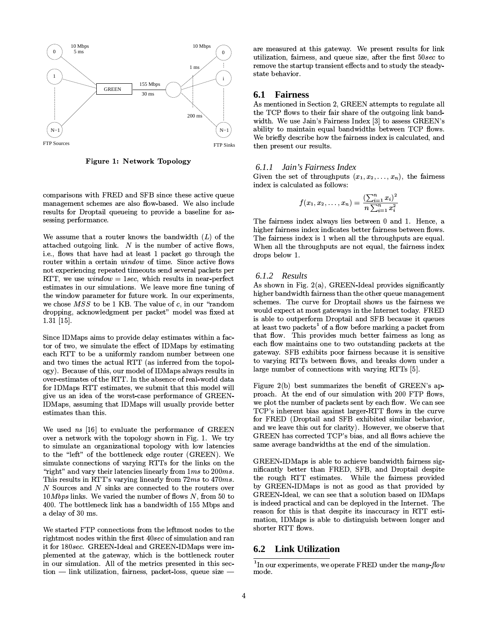

Figure 1: Network Topology

comparisons with FRED and SFB since these active queue management schemes are also flow-based. We also include results for Droptail queueing to provide a baseline for assessing performance.

We assume that a router knows the bandwidth  $(L)$  of the attached outgoing link.  $N$  is the number of active flows, i.e., flows that have had at least 1 packet go through the router within a certain window of time. Since active flows not experiencing repeated timeouts send several packets per RTT, we use  $window = 1 sec$ , which results in near-perfect estimates in our simulations. We leave more fine tuning of the window parameter for future work. In our experiments, we chose  $MSS$  to be 1 KB. The value of  $c$ , in our "random dropping, acknowledgment per packet" model was fixed at  $1.31$  [15].

Since IDMaps aims to provide delay estimates within a factor of two, we simulate the effect of IDMaps by estimating each RTT to be a uniformly random number between one and two times the actual RTT (as inferred from the topology). Because of this, our model of IDMaps always results in over-estimates of the RTT. In the absence of real-world data for IDMaps RTT estimates, we submit that this model will give us an idea of the worst-case performance of GREEN-IDMaps, assuming that IDMaps will usually provide better estimates than this.

We used ns [16] to evaluate the performance of GREEN over a network with the topology shown in Fig. 1. We try to simulate an organizational topology with low latencies to the "left" of the bottleneck edge router (GREEN). We simulate connections of varying RTTs for the links on the "right" and vary their latencies linearly from  $1ms$  to  $200ms$ . This results in RTT's varying linearly from 72ms to 470ms.  $N$  Sources and  $N$  sinks are connected to the routers over  $10Mbps$  links. We varied the number of flows N, from 50 to 400. The bottleneck link has a bandwidth of 155 Mbps and a delay of 30 ms.

We started FTP connections from the leftmost nodes to the rightmost nodes within the first 40sec of simulation and ran it for 180sec. GREEN-Ideal and GREEN-IDMaps were implemented at the gateway, which is the bottleneck router in our simulation. All of the metrics presented in this sec- $\text{tion}$  - link utilization, fairness, packet-loss, queue size - are measured at this gateway. We present results for link utilization, fairness, and queue size, after the first 50sec to remove the startup transient effects and to study the steadystate behavior.

#### 6.1 **Fairness**

As mentioned in Section 2, GREEN attempts to regulate all the TCP flows to their fair share of the outgoing link bandwidth. We use Jain's Fairness Index [3] to assess GREEN's ability to maintain equal bandwidths between TCP flows. We briefly describe how the fairness index is calculated, and then present our results.

#### 6.1.1 Jain's Fairness Index

Given the set of throughputs  $(x_1, x_2, \ldots, x_n)$ , the fairness index is calculated as follows:

$$
f(x_1, x_2, \ldots, x_n) = \frac{\left(\sum_{i=1}^n x_i\right)^2}{n \sum_{i=1}^n x_i^2}
$$

The fairness index always lies between 0 and 1. Hence, a higher fairness index indicates better fairness between flows. The fairness index is 1 when all the throughputs are equal. When all the throughputs are not equal, the fairness index drops below 1.

#### 6.1.2 Results

As shown in Fig. 2(a), GREEN-Ideal provides significantly higher bandwidth fairness than the other queue management schemes. The curve for Droptail shows us the fairness we would expect at most gateways in the Internet today. FRED is able to outperform Droptail and SFB because it queues at least two packets<sup>1</sup> of a flow before marking a packet from that flow. This provides much better fairness as long as each flow maintains one to two outstanding packets at the gateway. SFB exhibits poor fairness because it is sensitive to varying RTTs between flows, and breaks down under a large number of connections with varying RTTs [5].

Figure 2(b) best summarizes the benefit of GREEN's approach. At the end of our simulation with 200 FTP flows, we plot the number of packets sent by each flow. We can see TCP's inherent bias against larger-RTT flows in the curve for FRED (Droptail and SFB exhibited similar behavior, and we leave this out for clarity). However, we observe that GREEN has corrected TCP's bias, and all flows achieve the same average bandwidths at the end of the simulation.

GREEN-IDMaps is able to achieve bandwidth fairness significantly better than FRED, SFB, and Droptail despite the rough RTT estimates. While the fairness provided by GREEN-IDMaps is not as good as that provided by GREEN-Ideal, we can see that a solution based on IDMaps is indeed practical and can be deployed in the Internet. The reason for this is that despite its inaccuracy in RTT estimation, IDMaps is able to distinguish between longer and shorter RTT flows.

### 6.2 Link Utilization

<sup>&</sup>lt;sup>1</sup>In our experiments, we operate FRED under the  $many-flow$ mode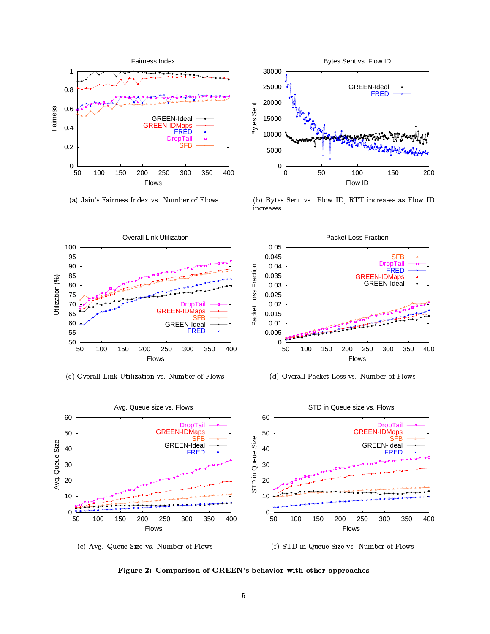

 $\mathcal{L} \rightarrow \mathcal{L}$  , and the set of the set of the set of the set of the set of the set of the set of the set of the set of the set of the set of the set of the set of the set of the set of the set of the set of the set of



2E0IH1 ,,BJB KL17,.M<N7(\* 9< O!\$#%'&PI(\*)+-,(0/



2&43657'89 7: ;-,(</=>@?BA-CCD E< F F-,(0/G>



(d) Overall Packet-Loss vs. Number of Flows





2)I89C>[ \Y\$##@89MZ O!\$#%'&P1(\*)V-,(0/

Figure 2: Comparison of GREEN's behavior with other approaches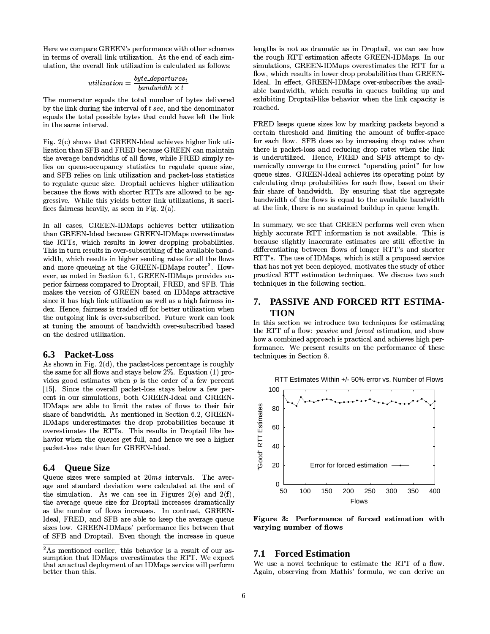Here we compare GREEN's performance with other schemes in terms of overall link utilization. At the end of each simulation, the overall link utilization is calculated as follows:

$$
utilization = \frac{byte\_departures_i}{bandwidth \times t}
$$

The numerator equals the total number of bytes delivered by the link during the interval of  $t$  sec, and the denominator equals the total possible bytes that could have left the link in the same interval.

Fig. 2(c) shows that GREEN-Ideal achieves higher link utilization than SFB and FRED because GREEN can maintain the average bandwidths of all flows, while FRED simply relies on queue-occupancy statistics to regulate queue size, and SFB relies on link utilization and packet-loss statistics to regulate queue size. Droptail achieves higher utilization because the flows with shorter RTTs are allowed to be aggressive. While this yields better link utilizations, it sacrifices fairness heavily, as seen in Fig.  $2(a)$ .

In all cases, GREEN-IDMaps achieves better utilization than GREEN-Ideal because GREEN-IDMaps overestimates the RTTs, which results in lower dropping probabilities. This in turn results in over-subscribing of the available bandwidth, which results in higher sending rates for all the flows and more queueing at the GREEN-IDMaps router<sup>2</sup>. However, as noted in Section 6.1, GREEN-IDMaps provides superior fairness compared to Droptail, FRED, and SFB. This makes the version of GREEN based on IDMaps attractive since it has high link utilization as well as a high fairness index. Hence, fairness is traded off for better utilization when the outgoing link is over-subscribed. Future work can look at tuning the amount of bandwidth over-subscribed based on the desired utilization.

#### $6.3$ **Packet-Loss**

As shown in Fig.  $2(d)$ , the packet-loss percentage is roughly the same for all flows and stays below 2%. Equation (1) provides good estimates when  $p$  is the order of a few percent [15]. Since the overall packet-loss stays below a few percent in our simulations, both GREEN-Ideal and GREEN-IDMaps are able to limit the rates of flows to their fair share of bandwidth. As mentioned in Section 6.2, GREEN-IDMaps underestimates the drop probabilities because it overestimates the RTTs. This results in Droptail like behavior when the queues get full, and hence we see a higher packet-loss rate than for GREEN-Ideal.

# **6.4 Oueue Size**

Queue sizes were sampled at  $20ms$  intervals. The average and standard deviation were calculated at the end of the simulation. As we can see in Figures  $2(e)$  and  $2(f)$ , the average queue size for Droptail increases dramatically as the number of flows increases. In contrast, GREEN-Ideal, FRED, and SFB are able to keep the average queue sizes low. GREEN-IDMaps' performance lies between that of SFB and Droptail. Even though the increase in queue

lengths is not as dramatic as in Droptail, we can see how the rough RTT estimation affects GREEN-IDMaps. In our simulations, GREEN-IDMaps overestimates the RTT for a flow, which results in lower drop probabilities than GREEN-Ideal. In effect, GREEN-IDMaps over-subscribes the available bandwidth, which results in queues building up and exhibiting Droptail-like behavior when the link capacity is reached.

FRED keeps queue sizes low by marking packets beyond a certain threshold and limiting the amount of buffer-space for each flow. SFB does so by increasing drop rates when there is packet-loss and reducing drop rates when the link is underutilized. Hence, FRED and SFB attempt to dynamically converge to the correct "operating point" for low queue sizes. GREEN-Ideal achieves its operating point by calculating drop probabilities for each flow, based on their fair share of bandwidth. By ensuring that the aggregate bandwidth of the flows is equal to the available bandwidth at the link, there is no sustained buildup in queue length.

In summary, we see that GREEN performs well even when highly accurate RTT information is not available. This is because slightly inaccurate estimates are still effective in differentiating between flows of longer RTT's and shorter RTT's. The use of IDMaps, which is still a proposed service that has not yet been deployed, motivates the study of other practical RTT estimation techniques. We discuss two such techniques in the following section.

#### PASSIVE AND FORCED RTT ESTIMA-7. **TION**

In this section we introduce two techniques for estimating the RTT of a flow: passive and forced estimation, and show how a combined approach is practical and achieves high performance. We present results on the performance of these techniques in Section 8.





Figure 3: Performance of forced estimation with varying number of flows

### **7.1 Forced Estimation**

We use a novel technique to estimate the RTT of a flow. Again, observing from Mathis' formula, we can derive an

<sup>&</sup>lt;sup>2</sup>As mentioned earlier, this behavior is a result of our assumption that IDMaps overestimates the RTT. We expect that an actual deployment of an IDMaps service will perform better than this.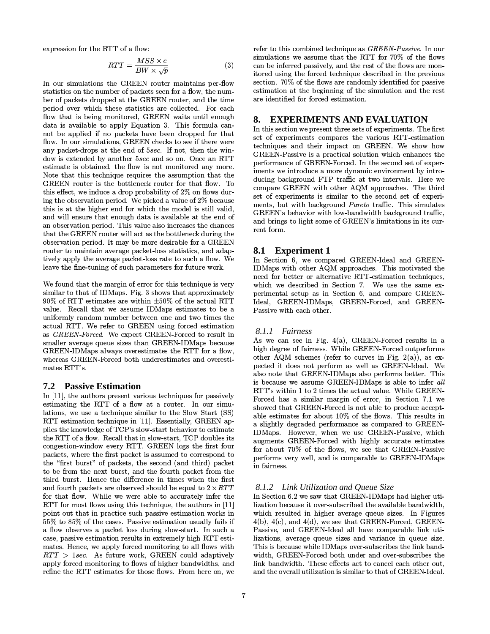expression for the RTT of a flow:

$$
RTT = \frac{MSS \times c}{BW \times \sqrt{p}}\tag{3}
$$

In our simulations the GREEN router maintains per-flow statistics on the number of packets seen for a flow, the number of packets dropped at the GREEN router, and the time period over which these statistics are collected. For each flow that is being monitored, GREEN waits until enough data is available to apply Equation 3. This formula cannot be applied if no packets have been dropped for that flow. In our simulations, GREEN checks to see if there were any packet-drops at the end of 5sec. If not, then the window is extended by another 5sec and so on. Once an RTT estimate is obtained, the flow is not monitored any more. Note that this technique requires the assumption that the GREEN router is the bottleneck router for that flow. To this effect, we induce a drop probability of 2% on flows during the observation period. We picked a value of 2% because this is at the higher end for which the model is still valid, and will ensure that enough data is available at the end of an observation period. This value also increases the chances that the GREEN router will act as the bottleneck during the observation period. It may be more desirable for a GREEN router to maintain average packet-loss statistics, and adaptively apply the average packet-loss rate to such a flow. We leave the fine-tuning of such parameters for future work.

We found that the margin of error for this technique is very similar to that of IDMaps. Fig. 3 shows that approximately 90% of RTT estimates are within  $\pm 50\%$  of the actual RTT value. Recall that we assume IDMaps estimates to be a uniformly random number between one and two times the actual RTT. We refer to GREEN using forced estimation as GREEN-Forced. We expect GREEN-Forced to result in smaller average queue sizes than GREEN-IDMaps because GREEN-IDMaps always overestimates the RTT for a flow, whereas GREEN-Forced both underestimates and overestimates RTT's.

#### **7.2** Passive Estimation

In  $[11]$ , the authors present various techniques for passively estimating the RTT of a flow at a router. In our simulations, we use a technique similar to the Slow Start (SS) RTT estimation technique in [11]. Essentially, GREEN applies the knowledge of TCP's slow-start behavior to estimate the RTT of a flow. Recall that in slow-start, TCP doubles its congestion-window every RTT. GREEN logs the first four packets, where the first packet is assumed to correspond to the "first burst" of packets, the second (and third) packet to be from the next burst, and the fourth packet from the third burst. Hence the difference in times when the first and fourth packets are observed should be equal to  $2 \times RTT$ for that flow. While we were able to accurately infer the RTT for most flows using this technique, the authors in [11] point out that in practice such passive estimation works in 55% to 85% of the cases. Passive estimation usually fails if a flow observes a packet loss during slow-start. In such a case, passive estimation results in extremely high RTT estimates. Hence, we apply forced monitoring to all flows with  $RTT > 1 sec$ . As future work, GREEN could adaptively apply forced monitoring to flows of higher bandwidths, and refine the RTT estimates for those flows. From here on, we

refer to this combined technique as GREEN-Passive. In our simulations we assume that the RTT for 70% of the flows can be inferred passively, and the rest of the flows are monitored using the forced technique described in the previous section. 70% of the flows are randomly identified for passive estimation at the beginning of the simulation and the rest are identified for forced estimation.

#### **EXPERIMENTS AND EVALUATION** 8.

In this section we present three sets of experiments. The first set of experiments compares the various RTT-estimation techniques and their impact on GREEN. We show how GREEN-Passive is a practical solution which enhances the performance of GREEN-Forced. In the second set of experiments we introduce a more dynamic environment by introducing background FTP traffic at two intervals. Here we compare GREEN with other AQM approaches. The third set of experiments is similar to the second set of experiments, but with background *Pareto* traffic. This simulates GREEN's behavior with low-bandwidth background traffic, and brings to light some of GREEN's limitations in its current form.

# 8.1 Experiment 1

In Section 6, we compared GREEN-Ideal and GREEN-IDMaps with other AQM approaches. This motivated the need for better or alternative RTT-estimation techniques, which we described in Section 7. We use the same experimental setup as in Section 6, and compare GREEN-Ideal, GREEN-IDMaps, GREEN-Forced, and GREEN-Passive with each other.

#### 8.1.1 Fairness

As we can see in Fig.  $4(a)$ , GREEN-Forced results in a high degree of fairness. While GREEN-Forced outperforms other AQM schemes (refer to curves in Fig. 2(a)), as expected it does not perform as well as GREEN-Ideal. We also note that GREEN-IDMaps also performs better. This is because we assume GREEN-IDMaps is able to infer all RTT's within 1 to 2 times the actual value. While GREEN-Forced has a similar margin of error, in Section 7.1 we showed that GREEN-Forced is not able to produce acceptable estimates for about 10% of the flows. This results in a slightly degraded performance as compared to GREEN-IDMaps. However, when we use GREEN-Passive, which augments GREEN-Forced with highly accurate estimates for about 70% of the flows, we see that GREEN-Passive performs very well, and is comparable to GREEN-IDMaps in fairness.

#### 8.1.2 Link Utilization and Oueue Size

In Section 6.2 we saw that GREEN-IDMaps had higher utilization because it over-subscribed the available bandwidth, which resulted in higher average queue sizes. In Figures  $4(b)$ ,  $4(c)$ , and  $4(d)$ , we see that GREEN-Forced, GREEN-Passive, and GREEN-Ideal all have comparable link utilizations, average queue sizes and variance in queue size. This is because while IDMaps over-subscribes the link bandwidth, GREEN-Forced both under and over-subscribes the link bandwidth. These effects act to cancel each other out, and the overall utilization is similar to that of GREEN-Ideal.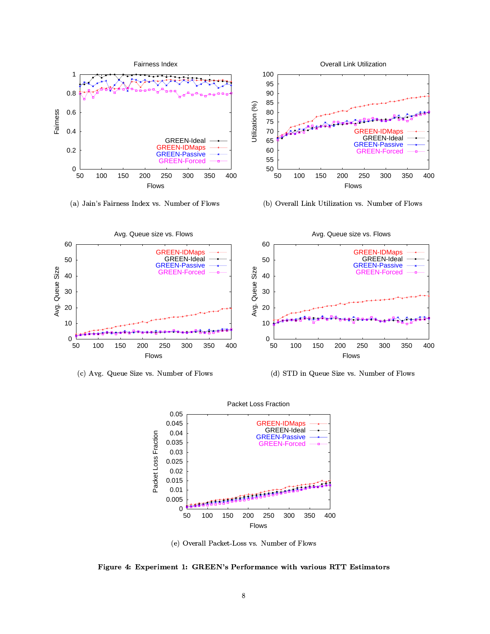

(a) Jain's Fairness Index vs. Number of Flows

(b) Overall Link Utilization vs. Number of Flows



(c) Avg. Queue Size vs. Number of Flows

(d) STD in Queue Size vs. Number of Flows



(e) Overall Packet-Loss vs. Number of Flows

Figure 4: Experiment 1: GREEN's Performance with various RTT Estimators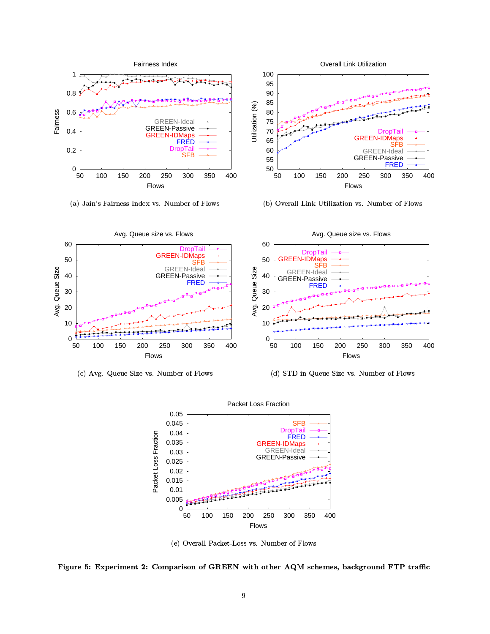

(a) Jain's Fairness Index vs. Number of Flows



(b) Overall Link Utilization vs. Number of Flows



(c) Avg. Queue Size vs. Number of Flows

(d) STD in Queue Size vs. Number of Flows



(e) Overall Packet-Loss vs. Number of Flows

Figure 5: Experiment 2: Comparison of GREEN with other AQM schemes, background FTP traffic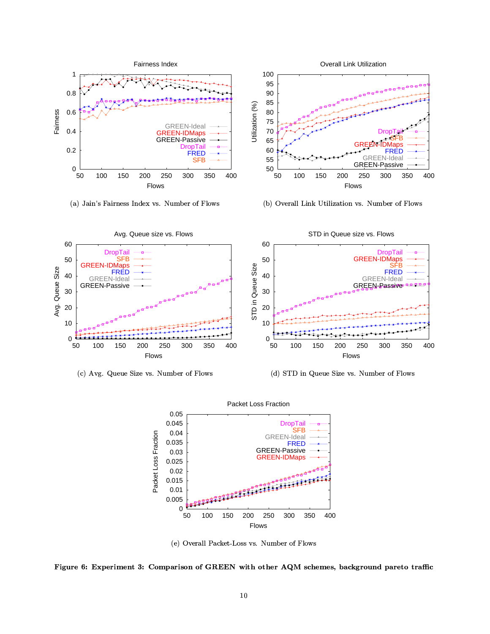

(a) Jain's Fairness Index vs. Number of Flows

(b) Overall Link Utilization vs. Number of Flows



(c) Avg. Queue Size vs. Number of Flows

(d) STD in Queue Size vs. Number of Flows



(e) Overall Packet-Loss vs. Number of Flows

Figure 6: Experiment 3: Comparison of GREEN with other AQM schemes, background pareto traffic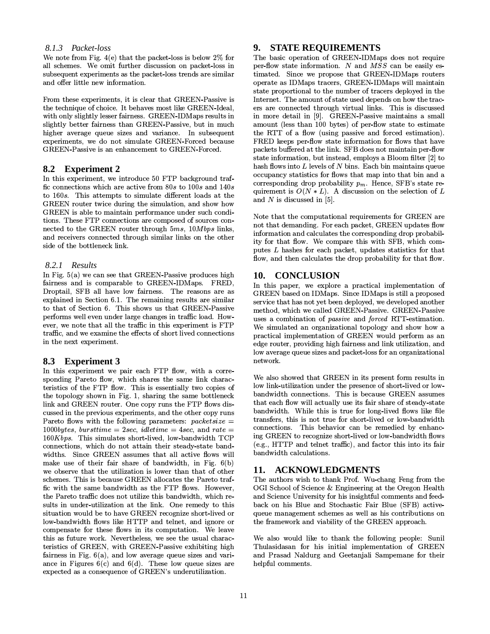#### 8.1.3 Packet-loss

We note from Fig.  $4(e)$  that the packet-loss is below  $2\%$  for all schemes. We omit further discussion on packet-loss in subsequent experiments as the packet-loss trends are similar and offer little new information.

From these experiments, it is clear that GREEN-Passive is the technique of choice. It behaves most like GREEN-Ideal. with only slightly lesser fairness. GREEN-IDMaps results in slightly better fairness than GREEN-Passive, but in much higher average queue sizes and variance. In subsequent experiments, we do not simulate GREEN-Forced because GREEN-Passive is an enhancement to GREEN-Forced.

#### 8.2 Experiment 2

In this experiment, we introduce 50 FTP background traffic connections which are active from  $80s$  to  $100s$  and  $140s$ to 160s. This attempts to simulate different loads at the GREEN router twice during the simulation, and show how GREEN is able to maintain performance under such conditions. These FTP connections are composed of sources connected to the GREEN router through 5ms, 10Mbps links, and receivers connected through similar links on the other side of the bottleneck link.

#### 8.2.1 Results

In Fig.  $5(a)$  we can see that GREEN-Passive produces high fairness and is comparable to GREEN-IDMaps. FRED, Droptail, SFB all have low fairness. The reasons are as explained in Section 6.1. The remaining results are similar to that of Section 6. This shows us that GREEN-Passive performs well even under large changes in traffic load. However, we note that all the traffic in this experiment is FTP traffic, and we examine the effects of short lived connections in the next experiment.

#### **Experiment 3** 8.3

In this experiment we pair each FTP flow, with a corresponding Pareto flow, which shares the same link characteristics of the FTP flow. This is essentially two copies of the topology shown in Fig. 1, sharing the same bottleneck link and GREEN router. One copy runs the FTP flows discussed in the previous experiments, and the other copy runs Pareto flows with the following parameters:  $packetsize =$  $1000 bytes, bursttime = 2 sec, idletime = 4 sec, and rate =$  $160Kbps$ . This simulates short-lived, low-bandwidth TCP connections, which do not attain their steady-state bandwidths. Since GREEN assumes that all active flows will make use of their fair share of bandwidth, in Fig. 6(b) we observe that the utilization is lower than that of other schemes. This is because GREEN allocates the Pareto traffic with the same bandwidth as the FTP flows. However, the Pareto traffic does not utilize this bandwidth, which results in under-utilization at the link. One remedy to this situation would be to have GREEN recognize short-lived or low-bandwidth flows like HTTP and telnet, and ignore or compensate for these flows in its computation. We leave this as future work. Nevertheless, we see the usual characteristics of GREEN, with GREEN-Passive exhibiting high fairness in Fig.  $6(a)$ , and low average queue sizes and variance in Figures  $6(c)$  and  $6(d)$ . These low queue sizes are expected as a consequence of GREEN's underutilization.

# 9. STATE REQUIREMENTS

The basic operation of GREEN-IDMaps does not require per-flow state information.  $N$  and  $MSS$  can be easily estimated. Since we propose that GREEN-IDMaps routers operate as IDMaps tracers, GREEN-IDMaps will maintain state proportional to the number of tracers deployed in the Internet. The amount of state used depends on how the tracers are connected through virtual links. This is discussed in more detail in [9]. GREEN-Passive maintains a small amount (less than 100 bytes) of per-flow state to estimate the RTT of a flow (using passive and forced estimation). FRED keeps per-flow state information for flows that have packets buffered at the link. SFB does not maintain per-flow state information, but instead, employs a Bloom filter [2] to hash flows into  $L$  levels of  $N$  bins. Each bin maintains queue occupancy statistics for flows that map into that bin and a corresponding drop probability  $p_m$ . Hence, SFB's state requirement is  $O(N * L)$ . A discussion on the selection of L and  $N$  is discussed in [5].

Note that the computational requirements for GREEN are not that demanding. For each packet, GREEN updates flow information and calculates the corresponding drop probability for that flow. We compare this with SFB, which computes L hashes for each packet, updates statistics for that flow, and then calculates the drop probability for that flow.

### 10. CONCLUSION

In this paper, we explore a practical implementation of GREEN based on IDMaps. Since IDMaps is still a proposed service that has not yet been deployed, we developed another method, which we called GREEN-Passive. GREEN-Passive uses a combination of *passive* and *forced* RTT-estimation. We simulated an organizational topology and show how a practical implementation of GREEN would perform as an edge router, providing high fairness and link utilization, and low average queue sizes and packet-loss for an organizational network.

We also showed that GREEN in its present form results in low link-utilization under the presence of short-lived or lowbandwidth connections. This is because GREEN assumes that each flow will actually use its fair share of steady-state bandwidth. While this is true for long-lived flows like file transfers, this is not true for short-lived or low-bandwidth connections. This behavior can be remedied by enhancing GREEN to recognize short-lived or low-bandwidth flows (e.g., HTTP and telnet traffic), and factor this into its fair bandwidth calculations.

### 11. ACKNOWLEDGMENTS

The authors wish to thank Prof. Wu-chang Feng from the OGI School of Science & Engineering at the Oregon Health and Science University for his insightful comments and feedback on his Blue and Stochastic Fair Blue (SFB) activequeue management schemes as well as his contributions on the framework and viability of the GREEN approach.

We also would like to thank the following people: Sunil Thulasidasan for his initial implementation of GREEN and Prasad Naldurg and Geetanjali Sampemane for their helpful comments.